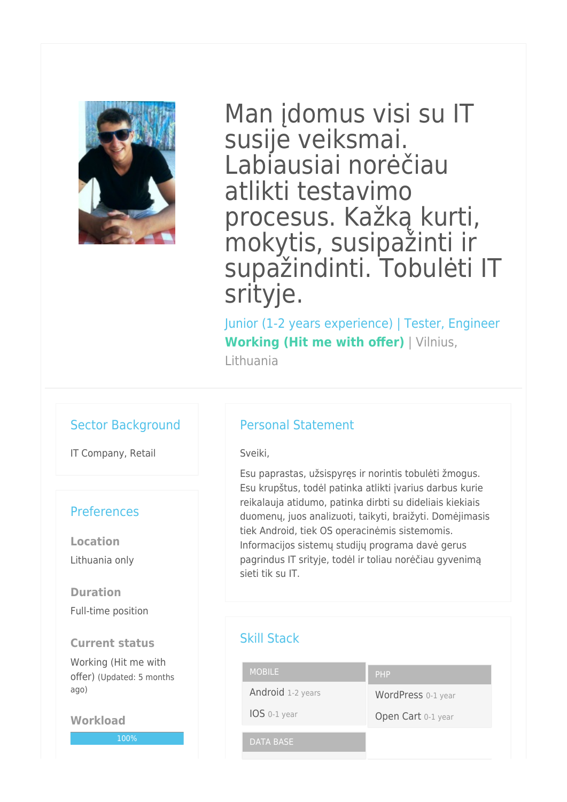

Man įdomus visi su IT susije veiksmai. Labiausiai norėčiau atlikti testavimo procesus. Kažką kurti, mokytis, susipažinti ir supažindinti. Tobulėti IT srityje.

Junior (1-2 years experience) | Tester, Engineer **Working (Hit me with offer)** | Vilnius, Lithuania

## Sector Background

IT Company, Retail

## **Preferences**

**Location** Lithuania only

**Duration** Full-time position

**Current status** Working (Hit me with

offer) (Updated: 5 months ago)

**Workload**

100%

## Personal Statement

Sveiki,

Esu paprastas, užsispyręs ir norintis tobulėti žmogus. Esu krupštus, todėl patinka atlikti įvarius darbus kurie reikalauja atidumo, patinka dirbti su dideliais kiekiais duomenų, juos analizuoti, taikyti, braižyti. Domėjimasis tiek Android, tiek OS operacinėmis sistemomis. Informacijos sistemų studijų programa davė gerus pagrindus IT srityje, todėl ir toliau norėčiau gyvenimą sieti tik su IT.

## Skill Stack

| <b>MOBILE</b>     | PHP                |
|-------------------|--------------------|
| Android 1-2 years | WordPress 0-1 year |
| IOS 0-1 year      | Open Cart 0-1 year |
| DATA BASE         |                    |
|                   |                    |